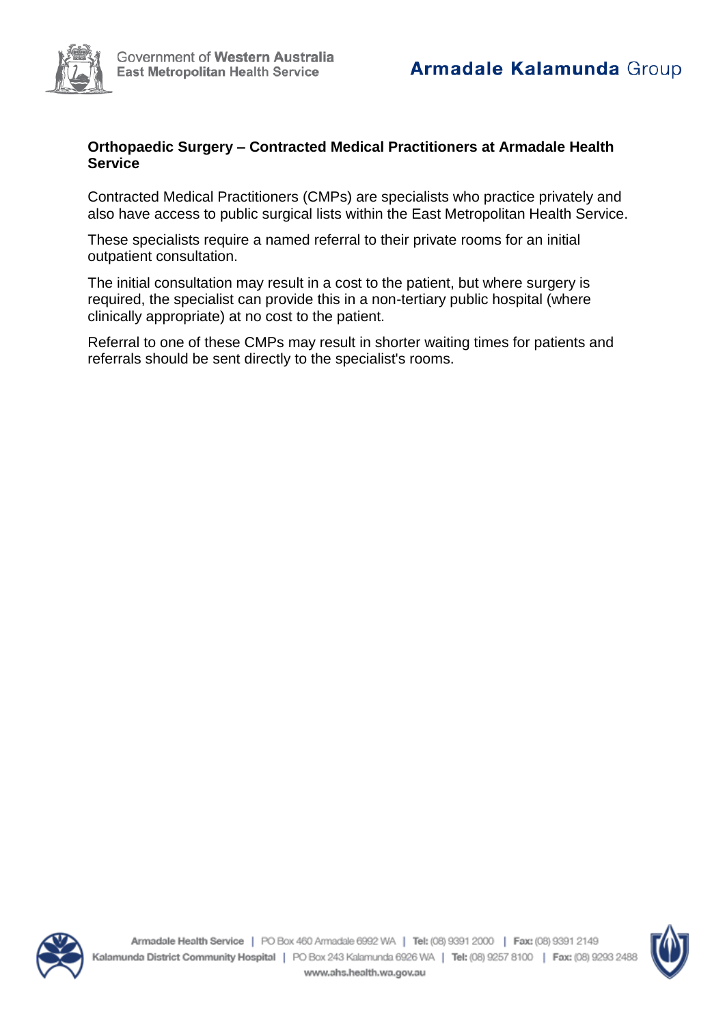## **Orthopaedic Surgery – Contracted Medical Practitioners at Armadale Health Service**

Contracted Medical Practitioners (CMPs) are specialists who practice privately and also have access to public surgical lists within the East Metropolitan Health Service.

These specialists require a named referral to their private rooms for an initial outpatient consultation.

The initial consultation may result in a cost to the patient, but where surgery is required, the specialist can provide this in a non-tertiary public hospital (where clinically appropriate) at no cost to the patient.

Referral to one of these CMPs may result in shorter waiting times for patients and referrals should be sent directly to the specialist's rooms.



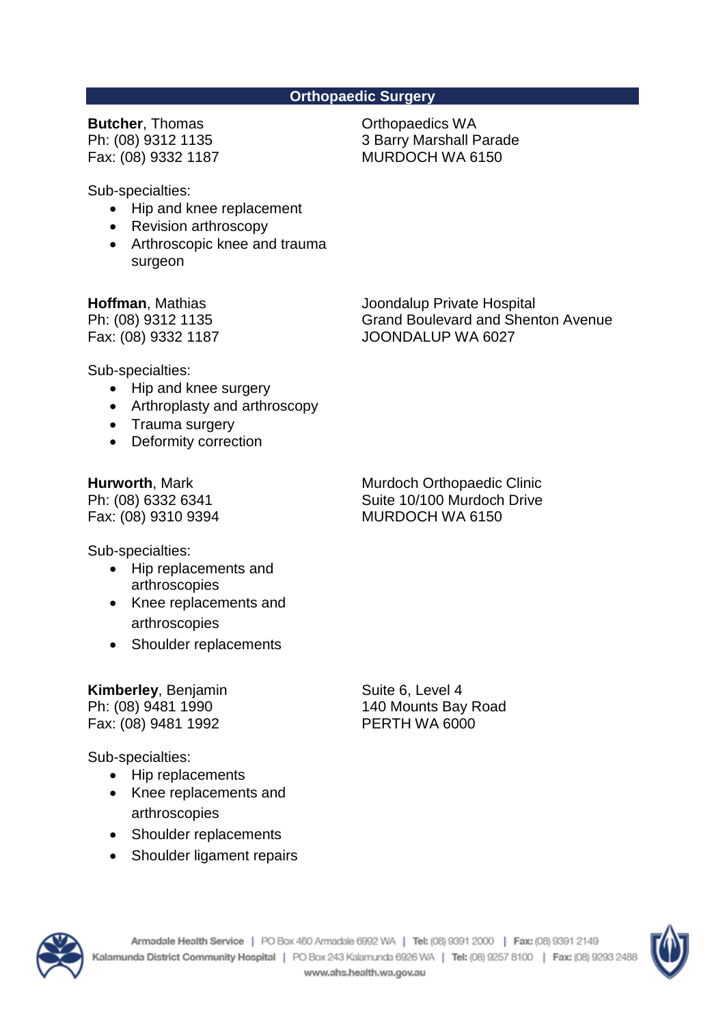## **Orthopaedic Surgery**

**Butcher**, Thomas Ph: (08) 9312 1135 Fax: (08) 9332 1187 Orthopaedics WA 3 Barry Marshall Parade MURDOCH WA 6150

Sub-specialties:

- Hip and knee replacement
- Revision arthroscopy
- Arthroscopic knee and trauma surgeon

**Hoffman**, Mathias

Ph: (08) 9312 1135 Fax: (08) 9332 1187 Joondalup Private Hospital Grand Boulevard and Shenton Avenue JOONDALUP WA 6027

Sub-specialties:

- Hip and knee surgery
- Arthroplasty and arthroscopy
- Trauma surgery
- Deformity correction

**Hurworth**, Mark Ph: (08) 6332 6341 Fax: (08) 9310 9394

Murdoch Orthopaedic Clinic Suite 10/100 Murdoch Drive MURDOCH WA 6150

Sub-specialties:

- Hip replacements and arthroscopies
- Knee replacements and arthroscopies
- Shoulder replacements

## **Kimberley**, Benjamin Ph: (08) 9481 1990 Fax: (08) 9481 1992

Sub-specialties:

- Hip replacements
- Knee replacements and arthroscopies
- Shoulder replacements
- Shoulder ligament repairs

Suite 6, Level 4 140 Mounts Bay Road PERTH WA 6000